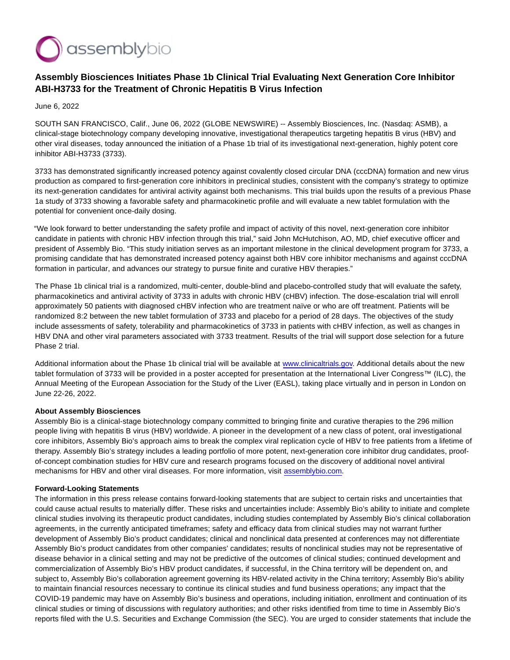

## **Assembly Biosciences Initiates Phase 1b Clinical Trial Evaluating Next Generation Core Inhibitor ABI-H3733 for the Treatment of Chronic Hepatitis B Virus Infection**

June 6, 2022

SOUTH SAN FRANCISCO, Calif., June 06, 2022 (GLOBE NEWSWIRE) -- Assembly Biosciences, Inc. (Nasdaq: ASMB), a clinical-stage biotechnology company developing innovative, investigational therapeutics targeting hepatitis B virus (HBV) and other viral diseases, today announced the initiation of a Phase 1b trial of its investigational next-generation, highly potent core inhibitor ABI-H3733 (3733).

3733 has demonstrated significantly increased potency against covalently closed circular DNA (cccDNA) formation and new virus production as compared to first-generation core inhibitors in preclinical studies, consistent with the company's strategy to optimize its next-generation candidates for antiviral activity against both mechanisms. This trial builds upon the results of a previous Phase 1a study of 3733 showing a favorable safety and pharmacokinetic profile and will evaluate a new tablet formulation with the potential for convenient once-daily dosing.

"We look forward to better understanding the safety profile and impact of activity of this novel, next-generation core inhibitor candidate in patients with chronic HBV infection through this trial," said John McHutchison, AO, MD, chief executive officer and president of Assembly Bio. "This study initiation serves as an important milestone in the clinical development program for 3733, a promising candidate that has demonstrated increased potency against both HBV core inhibitor mechanisms and against cccDNA formation in particular, and advances our strategy to pursue finite and curative HBV therapies."

The Phase 1b clinical trial is a randomized, multi-center, double-blind and placebo-controlled study that will evaluate the safety, pharmacokinetics and antiviral activity of 3733 in adults with chronic HBV (cHBV) infection. The dose-escalation trial will enroll approximately 50 patients with diagnosed cHBV infection who are treatment naïve or who are off treatment. Patients will be randomized 8:2 between the new tablet formulation of 3733 and placebo for a period of 28 days. The objectives of the study include assessments of safety, tolerability and pharmacokinetics of 3733 in patients with cHBV infection, as well as changes in HBV DNA and other viral parameters associated with 3733 treatment. Results of the trial will support dose selection for a future Phase 2 trial.

Additional information about the Phase 1b clinical trial will be available at [www.clinicaltrials.gov.](https://www.globenewswire.com/Tracker?data=tcb7ZHZCp_aAJ2PddjxJ8zCibskbMiWdZeyZeFuv8xfiXIti9fZp15-pIdCiG-GtU3fPwuPZnrngokGnDMBCXo829utFOS0h0_5Vq7RW6LA=) Additional details about the new tablet formulation of 3733 will be provided in a poster accepted for presentation at the International Liver Congress™ (ILC), the Annual Meeting of the European Association for the Study of the Liver (EASL), taking place virtually and in person in London on June 22-26, 2022.

## **About Assembly Biosciences**

Assembly Bio is a clinical-stage biotechnology company committed to bringing finite and curative therapies to the 296 million people living with hepatitis B virus (HBV) worldwide. A pioneer in the development of a new class of potent, oral investigational core inhibitors, Assembly Bio's approach aims to break the complex viral replication cycle of HBV to free patients from a lifetime of therapy. Assembly Bio's strategy includes a leading portfolio of more potent, next-generation core inhibitor drug candidates, proofof-concept combination studies for HBV cure and research programs focused on the discovery of additional novel antiviral mechanisms for HBV and other viral diseases. For more information, visit [assemblybio.com.](https://www.globenewswire.com/Tracker?data=vHZL34ypuAJa_Hnat1_IFQpONClARIfvE3C0rVAIjshllGMlHsQ4Max4QkAzdgZZyUpKaav3OU3pQPxWXnlQVRxzrCd7uqs_0u3wRbkn95o=)

## **Forward-Looking Statements**

The information in this press release contains forward-looking statements that are subject to certain risks and uncertainties that could cause actual results to materially differ. These risks and uncertainties include: Assembly Bio's ability to initiate and complete clinical studies involving its therapeutic product candidates, including studies contemplated by Assembly Bio's clinical collaboration agreements, in the currently anticipated timeframes; safety and efficacy data from clinical studies may not warrant further development of Assembly Bio's product candidates; clinical and nonclinical data presented at conferences may not differentiate Assembly Bio's product candidates from other companies' candidates; results of nonclinical studies may not be representative of disease behavior in a clinical setting and may not be predictive of the outcomes of clinical studies; continued development and commercialization of Assembly Bio's HBV product candidates, if successful, in the China territory will be dependent on, and subject to, Assembly Bio's collaboration agreement governing its HBV-related activity in the China territory; Assembly Bio's ability to maintain financial resources necessary to continue its clinical studies and fund business operations; any impact that the COVID-19 pandemic may have on Assembly Bio's business and operations, including initiation, enrollment and continuation of its clinical studies or timing of discussions with regulatory authorities; and other risks identified from time to time in Assembly Bio's reports filed with the U.S. Securities and Exchange Commission (the SEC). You are urged to consider statements that include the